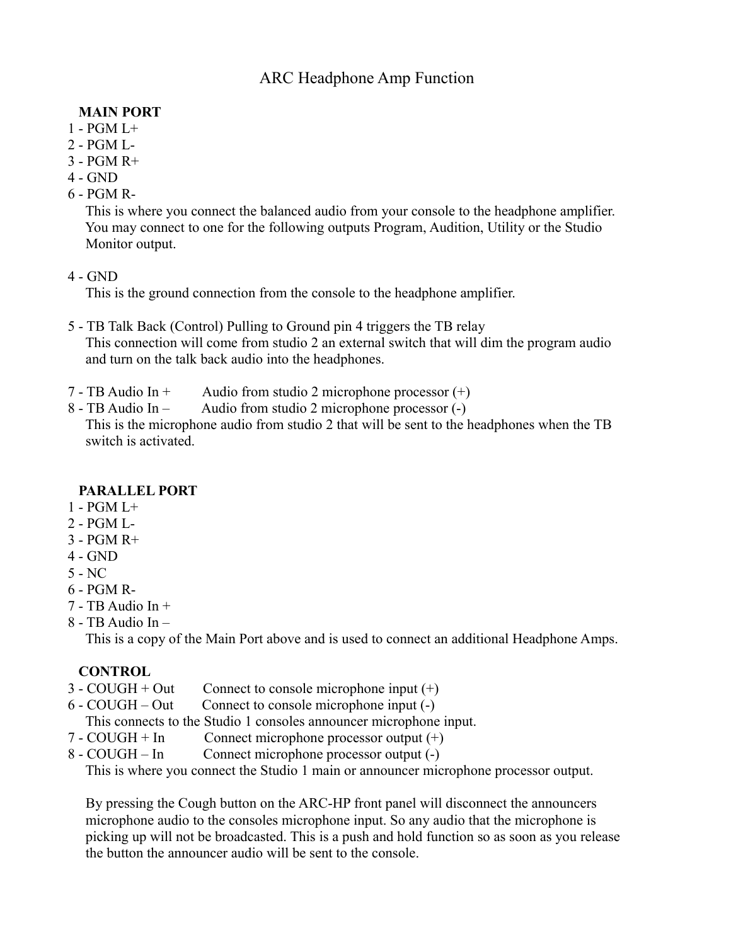# ARC Headphone Amp Function

### **MAIN PORT**

- $1 PGM$   $I +$
- 2 PGM L-
- 3 PGM R+
- 4 GND
- 6 PGM R-

 This is where you connect the balanced audio from your console to the headphone amplifier. You may connect to one for the following outputs Program, Audition, Utility or the Studio Monitor output.

4 - GND

This is the ground connection from the console to the headphone amplifier.

- 5 TB Talk Back (Control) Pulling to Ground pin 4 triggers the TB relay This connection will come from studio 2 an external switch that will dim the program audio and turn on the talk back audio into the headphones.
- 7 TB Audio In + Audio from studio 2 microphone processor  $(+)$
- 8 TB Audio In Audio from studio 2 microphone processor (-)

 This is the microphone audio from studio 2 that will be sent to the headphones when the TB switch is activated.

#### **PARALLEL PORT**

- 1 PGM L+
- 2 PGM L-
- $3 PGM R +$
- 4 GND
- 5 NC
- 6 PGM R-
- $7 TB$  Audio In  $+$
- 8 TB Audio In –

This is a copy of the Main Port above and is used to connect an additional Headphone Amps.

#### **CONTROL**

- $3 \text{CO} \text{U} \text{GH} + \text{Out}$  Connect to console microphone input  $(+)$
- 6 COUGH Out Connect to console microphone input (-)
- This connects to the Studio 1 consoles announcer microphone input.
- $7 \text{COUGH} + \text{In}$  Connect microphone processor output  $(+)$
- 8 COUGH In Connect microphone processor output (-)

This is where you connect the Studio 1 main or announcer microphone processor output.

 By pressing the Cough button on the ARC-HP front panel will disconnect the announcers microphone audio to the consoles microphone input. So any audio that the microphone is picking up will not be broadcasted. This is a push and hold function so as soon as you release the button the announcer audio will be sent to the console.